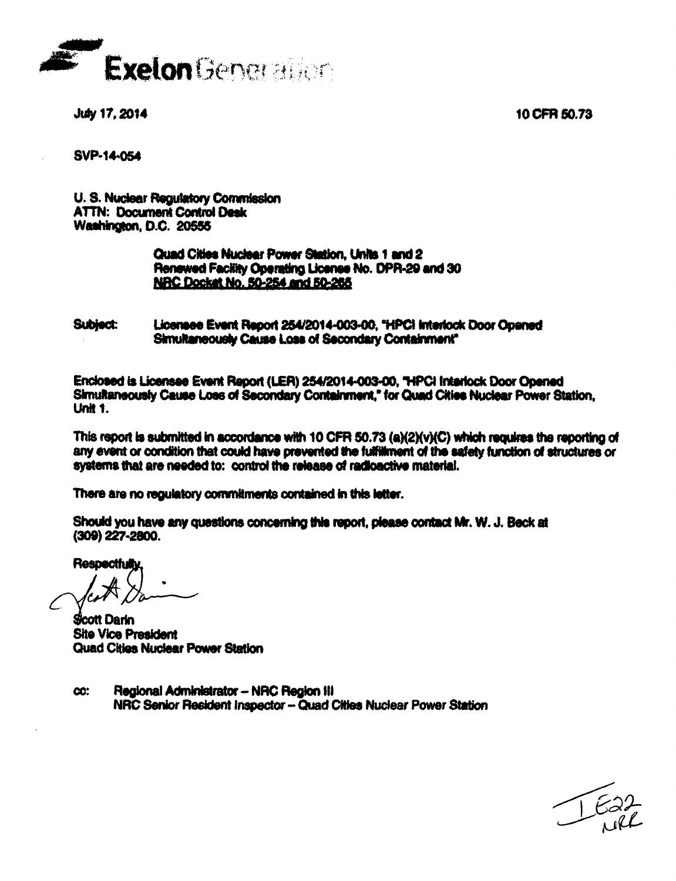10 CFR 50.73



July 17, 2014

**SVP-14-054** 

U. S. Nuclear Regulatory Commission **ATTN: Document Control Desk Washington, D.C. 20555** 

# Quad Cities Nuclear Power Station, Units 1 and 2 Renewed Facility Operating License No. DPR-29 and 30 NRC Docket No. 50-254 and 50-265

**Subject:** Licensee Event Report 254/2014-003-00, "HPCI Interlock Door Opened Simultaneously Cause Loss of Secondary Containment"

Enclosed is Licensee Event Report (LER) 254/2014-003-00, "HPCI Interlock Door Opened Simultaneously Cause Loss of Secondary Containment," for Quad Cities Nuclear Power Station, **Unit 1.** 

This report is submitted in accordance with 10 CFR 50.73 (a)(2)(v)(C) which requires the reporting of any event or condition that could have prevented the fulfillment of the safety function of structures or systems that are needed to: control the release of radioactive material.

There are no requisiony commitments contained in this letter.

Should you have any questions concerning this report, please contact Mr. W. J. Beck at (309) 227-2800.

Respectfully

**Scott Darin Site Vice President Quad Cities Nuclear Power Station** 

Regional Administrator -- NRC Region III **CC:** NRC Senior Resident Inspector - Quad Cities Nuclear Power Station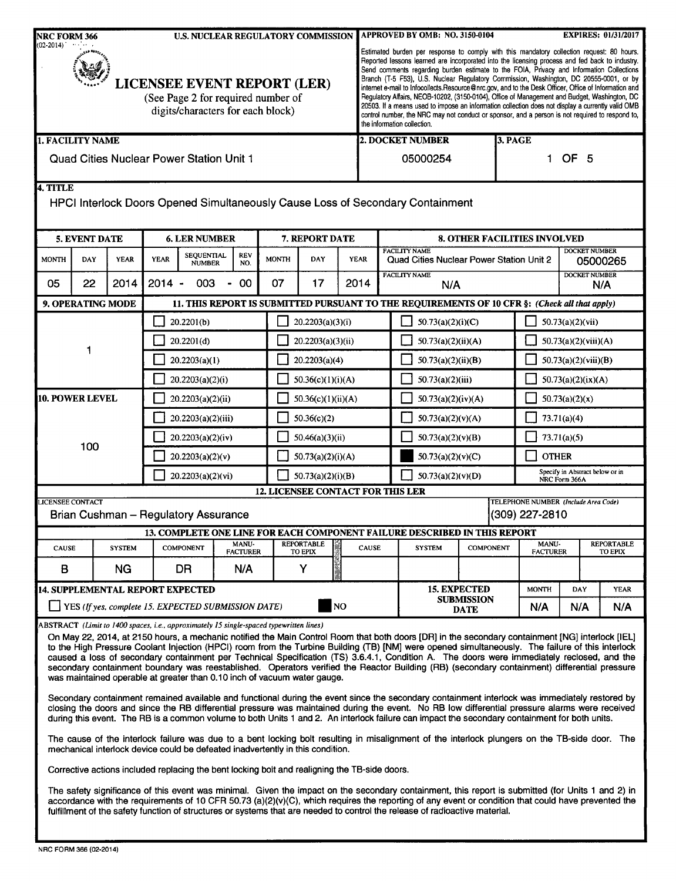| <b>NRC FORM 366</b><br><b>U.S. NUCLEAR REGULATORY COMMISSION</b><br>$(02-2014)$                               |                                          |                   |                    |                                                                                                                                                                                                                                                                                                                                                        | APPROVED BY OMB: NO. 3150-0104<br><b>EXPIRES: 01/31/2017</b> |                                     |                                                                                                                                                                                                                                                                                                                                                                                                                                                                                                                                                                                                                                                                                                                                                                                                                                   |           |                                                                                  |                   |                                                                                                                                                                                                                                                                                                                                                                                                                                                                                                                                                                                                                                                                                                                                                                                                                                                                                                                                                                                                                                                                                                                                                                                                                                                                                                                                                                                                                                                                                                                                                                                                                                                      |  |              |                                                  |                                                          |             |     |
|---------------------------------------------------------------------------------------------------------------|------------------------------------------|-------------------|--------------------|--------------------------------------------------------------------------------------------------------------------------------------------------------------------------------------------------------------------------------------------------------------------------------------------------------------------------------------------------------|--------------------------------------------------------------|-------------------------------------|-----------------------------------------------------------------------------------------------------------------------------------------------------------------------------------------------------------------------------------------------------------------------------------------------------------------------------------------------------------------------------------------------------------------------------------------------------------------------------------------------------------------------------------------------------------------------------------------------------------------------------------------------------------------------------------------------------------------------------------------------------------------------------------------------------------------------------------|-----------|----------------------------------------------------------------------------------|-------------------|------------------------------------------------------------------------------------------------------------------------------------------------------------------------------------------------------------------------------------------------------------------------------------------------------------------------------------------------------------------------------------------------------------------------------------------------------------------------------------------------------------------------------------------------------------------------------------------------------------------------------------------------------------------------------------------------------------------------------------------------------------------------------------------------------------------------------------------------------------------------------------------------------------------------------------------------------------------------------------------------------------------------------------------------------------------------------------------------------------------------------------------------------------------------------------------------------------------------------------------------------------------------------------------------------------------------------------------------------------------------------------------------------------------------------------------------------------------------------------------------------------------------------------------------------------------------------------------------------------------------------------------------------|--|--------------|--------------------------------------------------|----------------------------------------------------------|-------------|-----|
| <b>LICENSEE EVENT REPORT (LER)</b><br>(See Page 2 for required number of<br>digits/characters for each block) |                                          |                   |                    |                                                                                                                                                                                                                                                                                                                                                        |                                                              |                                     | Estimated burden per response to comply with this mandatory collection request: 80 hours.<br>Reported lessons learned are incorporated into the licensing process and fed back to industry.<br>Send comments regarding burden estimate to the FOIA, Privacy and Information Collections<br>Branch (T-5 F53), U.S. Nuclear Regulatory Commission, Washington, DC 20555-0001, or by<br>internet e-mail to Infocollects. Resource@nrc.gov, and to the Desk Officer, Office of Information and<br>Regulatory Affairs, NEOB-10202, (3150-0104), Office of Management and Budget, Washington, DC<br>20503. If a means used to impose an information collection does not display a currently valid OMB<br>control number, the NRC may not conduct or sponsor, and a person is not required to respond to,<br>the information collection. |           |                                                                                  |                   |                                                                                                                                                                                                                                                                                                                                                                                                                                                                                                                                                                                                                                                                                                                                                                                                                                                                                                                                                                                                                                                                                                                                                                                                                                                                                                                                                                                                                                                                                                                                                                                                                                                      |  |              |                                                  |                                                          |             |     |
| 1. FACILITY NAME                                                                                              |                                          |                   |                    |                                                                                                                                                                                                                                                                                                                                                        |                                                              |                                     | 2. DOCKET NUMBER<br>3. PAGE                                                                                                                                                                                                                                                                                                                                                                                                                                                                                                                                                                                                                                                                                                                                                                                                       |           |                                                                                  |                   |                                                                                                                                                                                                                                                                                                                                                                                                                                                                                                                                                                                                                                                                                                                                                                                                                                                                                                                                                                                                                                                                                                                                                                                                                                                                                                                                                                                                                                                                                                                                                                                                                                                      |  |              |                                                  |                                                          |             |     |
|                                                                                                               | Quad Cities Nuclear Power Station Unit 1 |                   |                    |                                                                                                                                                                                                                                                                                                                                                        |                                                              |                                     |                                                                                                                                                                                                                                                                                                                                                                                                                                                                                                                                                                                                                                                                                                                                                                                                                                   |           |                                                                                  |                   | 05000254                                                                                                                                                                                                                                                                                                                                                                                                                                                                                                                                                                                                                                                                                                                                                                                                                                                                                                                                                                                                                                                                                                                                                                                                                                                                                                                                                                                                                                                                                                                                                                                                                                             |  |              | 1.                                               | OF <sub>5</sub>                                          |             |     |
| 4. TITLE                                                                                                      |                                          |                   |                    |                                                                                                                                                                                                                                                                                                                                                        |                                                              |                                     |                                                                                                                                                                                                                                                                                                                                                                                                                                                                                                                                                                                                                                                                                                                                                                                                                                   |           |                                                                                  |                   | HPCI Interlock Doors Opened Simultaneously Cause Loss of Secondary Containment                                                                                                                                                                                                                                                                                                                                                                                                                                                                                                                                                                                                                                                                                                                                                                                                                                                                                                                                                                                                                                                                                                                                                                                                                                                                                                                                                                                                                                                                                                                                                                       |  |              |                                                  |                                                          |             |     |
| <b>5. EVENT DATE</b><br><b>6. LER NUMBER</b><br>7. REPORT DATE                                                |                                          |                   |                    |                                                                                                                                                                                                                                                                                                                                                        |                                                              | <b>8. OTHER FACILITIES INVOLVED</b> |                                                                                                                                                                                                                                                                                                                                                                                                                                                                                                                                                                                                                                                                                                                                                                                                                                   |           |                                                                                  |                   |                                                                                                                                                                                                                                                                                                                                                                                                                                                                                                                                                                                                                                                                                                                                                                                                                                                                                                                                                                                                                                                                                                                                                                                                                                                                                                                                                                                                                                                                                                                                                                                                                                                      |  |              |                                                  |                                                          |             |     |
| <b>MONTH</b>                                                                                                  | <b>DAY</b>                               | <b>YEAR</b>       | <b>YEAR</b>        | SEQUENTIAL<br><b>NUMBER</b>                                                                                                                                                                                                                                                                                                                            | <b>REV</b><br>NO.                                            | <b>MONTH</b>                        | DAY                                                                                                                                                                                                                                                                                                                                                                                                                                                                                                                                                                                                                                                                                                                                                                                                                               |           | <b>YEAR</b>                                                                      |                   | <b>FACILITY NAME</b><br>Quad Cities Nuclear Power Station Unit 2                                                                                                                                                                                                                                                                                                                                                                                                                                                                                                                                                                                                                                                                                                                                                                                                                                                                                                                                                                                                                                                                                                                                                                                                                                                                                                                                                                                                                                                                                                                                                                                     |  |              | <b>DOCKET NUMBER</b><br>05000265                 |                                                          |             |     |
| 05                                                                                                            | 22                                       | 2014              | $2014 -$           | 003                                                                                                                                                                                                                                                                                                                                                    | 00<br>$\blacksquare$                                         | 07                                  | 17                                                                                                                                                                                                                                                                                                                                                                                                                                                                                                                                                                                                                                                                                                                                                                                                                                |           | 2014                                                                             |                   | <b>FACILITY NAME</b><br>N/A                                                                                                                                                                                                                                                                                                                                                                                                                                                                                                                                                                                                                                                                                                                                                                                                                                                                                                                                                                                                                                                                                                                                                                                                                                                                                                                                                                                                                                                                                                                                                                                                                          |  |              | <b>DOCKET NUMBER</b><br>N/A                      |                                                          |             |     |
|                                                                                                               |                                          | 9. OPERATING MODE |                    |                                                                                                                                                                                                                                                                                                                                                        |                                                              |                                     |                                                                                                                                                                                                                                                                                                                                                                                                                                                                                                                                                                                                                                                                                                                                                                                                                                   |           |                                                                                  |                   | 11. THIS REPORT IS SUBMITTED PURSUANT TO THE REQUIREMENTS OF 10 CFR §: (Check all that apply)                                                                                                                                                                                                                                                                                                                                                                                                                                                                                                                                                                                                                                                                                                                                                                                                                                                                                                                                                                                                                                                                                                                                                                                                                                                                                                                                                                                                                                                                                                                                                        |  |              |                                                  |                                                          |             |     |
|                                                                                                               |                                          |                   |                    | 20.2201(b)                                                                                                                                                                                                                                                                                                                                             |                                                              |                                     | 20.2203(a)(3)(i)                                                                                                                                                                                                                                                                                                                                                                                                                                                                                                                                                                                                                                                                                                                                                                                                                  |           |                                                                                  |                   | 50.73(a)(2)(i)(C)                                                                                                                                                                                                                                                                                                                                                                                                                                                                                                                                                                                                                                                                                                                                                                                                                                                                                                                                                                                                                                                                                                                                                                                                                                                                                                                                                                                                                                                                                                                                                                                                                                    |  |              |                                                  | 50.73(a)(2)(vii)                                         |             |     |
|                                                                                                               | 1                                        |                   | 20.2201(d)         |                                                                                                                                                                                                                                                                                                                                                        |                                                              |                                     | 20.2203(a)(3)(ii)                                                                                                                                                                                                                                                                                                                                                                                                                                                                                                                                                                                                                                                                                                                                                                                                                 |           |                                                                                  |                   | 50.73(a)(2)(ii)(A)                                                                                                                                                                                                                                                                                                                                                                                                                                                                                                                                                                                                                                                                                                                                                                                                                                                                                                                                                                                                                                                                                                                                                                                                                                                                                                                                                                                                                                                                                                                                                                                                                                   |  |              | 50.73(a)(2)(viii)(A)                             |                                                          |             |     |
|                                                                                                               |                                          |                   | 20.2203(a)(1)      |                                                                                                                                                                                                                                                                                                                                                        |                                                              |                                     | 20.2203(a)(4)                                                                                                                                                                                                                                                                                                                                                                                                                                                                                                                                                                                                                                                                                                                                                                                                                     |           |                                                                                  |                   | 50.73(a)(2)(ii)(B)                                                                                                                                                                                                                                                                                                                                                                                                                                                                                                                                                                                                                                                                                                                                                                                                                                                                                                                                                                                                                                                                                                                                                                                                                                                                                                                                                                                                                                                                                                                                                                                                                                   |  |              | 50.73(a)(2)(viii)(B)                             |                                                          |             |     |
|                                                                                                               |                                          |                   | 20.2203(a)(2)(i)   |                                                                                                                                                                                                                                                                                                                                                        |                                                              |                                     | 50.36(c)(1)(i)(A)                                                                                                                                                                                                                                                                                                                                                                                                                                                                                                                                                                                                                                                                                                                                                                                                                 |           |                                                                                  |                   | 50.73(a)(2)(iii)                                                                                                                                                                                                                                                                                                                                                                                                                                                                                                                                                                                                                                                                                                                                                                                                                                                                                                                                                                                                                                                                                                                                                                                                                                                                                                                                                                                                                                                                                                                                                                                                                                     |  |              | 50.73(a)(2)(ix)(A)                               |                                                          |             |     |
| <b>10. POWER LEVEL</b>                                                                                        |                                          |                   | 20.2203(a)(2)(ii)  |                                                                                                                                                                                                                                                                                                                                                        |                                                              |                                     | 50.36(c)(1)(ii)(A)                                                                                                                                                                                                                                                                                                                                                                                                                                                                                                                                                                                                                                                                                                                                                                                                                |           |                                                                                  |                   | 50.73(a)(2)(iv)(A)                                                                                                                                                                                                                                                                                                                                                                                                                                                                                                                                                                                                                                                                                                                                                                                                                                                                                                                                                                                                                                                                                                                                                                                                                                                                                                                                                                                                                                                                                                                                                                                                                                   |  |              | 50.73(a)(2)(x)                                   |                                                          |             |     |
|                                                                                                               |                                          |                   | 20.2203(a)(2)(iii) |                                                                                                                                                                                                                                                                                                                                                        |                                                              |                                     | 50.36(c)(2)                                                                                                                                                                                                                                                                                                                                                                                                                                                                                                                                                                                                                                                                                                                                                                                                                       |           |                                                                                  |                   | 50.73(a)(2)(v)(A)                                                                                                                                                                                                                                                                                                                                                                                                                                                                                                                                                                                                                                                                                                                                                                                                                                                                                                                                                                                                                                                                                                                                                                                                                                                                                                                                                                                                                                                                                                                                                                                                                                    |  |              | 73.71(a)(4)                                      |                                                          |             |     |
|                                                                                                               |                                          |                   | 20.2203(a)(2)(iv)  |                                                                                                                                                                                                                                                                                                                                                        |                                                              |                                     | 50.46(a)(3)(ii)                                                                                                                                                                                                                                                                                                                                                                                                                                                                                                                                                                                                                                                                                                                                                                                                                   |           |                                                                                  |                   | 50.73(a)(2)(v)(B)                                                                                                                                                                                                                                                                                                                                                                                                                                                                                                                                                                                                                                                                                                                                                                                                                                                                                                                                                                                                                                                                                                                                                                                                                                                                                                                                                                                                                                                                                                                                                                                                                                    |  |              | 73.71(a)(5)                                      |                                                          |             |     |
|                                                                                                               | 100                                      |                   | 20.2203(a)(2)(v)   |                                                                                                                                                                                                                                                                                                                                                        |                                                              |                                     | 50.73(a)(2)(i)(A)                                                                                                                                                                                                                                                                                                                                                                                                                                                                                                                                                                                                                                                                                                                                                                                                                 |           |                                                                                  | 50.73(a)(2)(v)(C) |                                                                                                                                                                                                                                                                                                                                                                                                                                                                                                                                                                                                                                                                                                                                                                                                                                                                                                                                                                                                                                                                                                                                                                                                                                                                                                                                                                                                                                                                                                                                                                                                                                                      |  |              | <b>OTHER</b>                                     |                                                          |             |     |
|                                                                                                               |                                          |                   | 20.2203(a)(2)(vi)  |                                                                                                                                                                                                                                                                                                                                                        |                                                              |                                     | 50.73(a)(2)(i)(B)                                                                                                                                                                                                                                                                                                                                                                                                                                                                                                                                                                                                                                                                                                                                                                                                                 |           |                                                                                  | 50.73(a)(2)(v)(D) |                                                                                                                                                                                                                                                                                                                                                                                                                                                                                                                                                                                                                                                                                                                                                                                                                                                                                                                                                                                                                                                                                                                                                                                                                                                                                                                                                                                                                                                                                                                                                                                                                                                      |  |              | Specify in Abstract below or in<br>NRC Form 366A |                                                          |             |     |
|                                                                                                               | <b>LICENSEE CONTACT</b>                  |                   |                    |                                                                                                                                                                                                                                                                                                                                                        |                                                              |                                     |                                                                                                                                                                                                                                                                                                                                                                                                                                                                                                                                                                                                                                                                                                                                                                                                                                   |           | <b>12. LICENSEE CONTACT FOR THIS LER</b><br>TELEPHONE NUMBER (Include Area Code) |                   |                                                                                                                                                                                                                                                                                                                                                                                                                                                                                                                                                                                                                                                                                                                                                                                                                                                                                                                                                                                                                                                                                                                                                                                                                                                                                                                                                                                                                                                                                                                                                                                                                                                      |  |              |                                                  |                                                          |             |     |
|                                                                                                               |                                          |                   |                    | <b>Brian Cushman - Regulatory Assurance</b>                                                                                                                                                                                                                                                                                                            |                                                              |                                     |                                                                                                                                                                                                                                                                                                                                                                                                                                                                                                                                                                                                                                                                                                                                                                                                                                   |           |                                                                                  |                   |                                                                                                                                                                                                                                                                                                                                                                                                                                                                                                                                                                                                                                                                                                                                                                                                                                                                                                                                                                                                                                                                                                                                                                                                                                                                                                                                                                                                                                                                                                                                                                                                                                                      |  |              | (309) 227-2810                                   |                                                          |             |     |
|                                                                                                               |                                          |                   |                    |                                                                                                                                                                                                                                                                                                                                                        |                                                              |                                     |                                                                                                                                                                                                                                                                                                                                                                                                                                                                                                                                                                                                                                                                                                                                                                                                                                   |           | 13. COMPLETE ONE LINE FOR EACH COMPONENT FAILURE DESCRIBED IN THIS REPORT        |                   |                                                                                                                                                                                                                                                                                                                                                                                                                                                                                                                                                                                                                                                                                                                                                                                                                                                                                                                                                                                                                                                                                                                                                                                                                                                                                                                                                                                                                                                                                                                                                                                                                                                      |  |              |                                                  |                                                          |             |     |
| <b>CAUSE</b>                                                                                                  |                                          | <b>SYSTEM</b>     |                    | <b>COMPONENT</b>                                                                                                                                                                                                                                                                                                                                       | MANU-<br><b>FACTURER</b>                                     |                                     | <b>REPORTABLE</b><br>TO EPIX                                                                                                                                                                                                                                                                                                                                                                                                                                                                                                                                                                                                                                                                                                                                                                                                      |           | CAUSE                                                                            |                   | <b>SYSTEM</b><br><b>COMPONENT</b>                                                                                                                                                                                                                                                                                                                                                                                                                                                                                                                                                                                                                                                                                                                                                                                                                                                                                                                                                                                                                                                                                                                                                                                                                                                                                                                                                                                                                                                                                                                                                                                                                    |  |              |                                                  | MANU-<br><b>REPORTABLE</b><br><b>FACTURER</b><br>TO EPIX |             |     |
| В                                                                                                             |                                          | <b>NG</b>         |                    | <b>DR</b>                                                                                                                                                                                                                                                                                                                                              | N/A                                                          |                                     | Υ                                                                                                                                                                                                                                                                                                                                                                                                                                                                                                                                                                                                                                                                                                                                                                                                                                 |           |                                                                                  |                   |                                                                                                                                                                                                                                                                                                                                                                                                                                                                                                                                                                                                                                                                                                                                                                                                                                                                                                                                                                                                                                                                                                                                                                                                                                                                                                                                                                                                                                                                                                                                                                                                                                                      |  |              |                                                  |                                                          |             |     |
|                                                                                                               |                                          |                   |                    | <b>14. SUPPLEMENTAL REPORT EXPECTED</b>                                                                                                                                                                                                                                                                                                                |                                                              |                                     |                                                                                                                                                                                                                                                                                                                                                                                                                                                                                                                                                                                                                                                                                                                                                                                                                                   |           | <b>15. EXPECTED</b>                                                              |                   |                                                                                                                                                                                                                                                                                                                                                                                                                                                                                                                                                                                                                                                                                                                                                                                                                                                                                                                                                                                                                                                                                                                                                                                                                                                                                                                                                                                                                                                                                                                                                                                                                                                      |  | <b>MONTH</b> | DAY                                              |                                                          | <b>YEAR</b> |     |
|                                                                                                               |                                          |                   |                    | YES (If ves, complete 15. EXPECTED SUBMISSION DATE)                                                                                                                                                                                                                                                                                                    |                                                              |                                     |                                                                                                                                                                                                                                                                                                                                                                                                                                                                                                                                                                                                                                                                                                                                                                                                                                   | <b>NO</b> |                                                                                  |                   | <b>SUBMISSION</b><br><b>DATE</b>                                                                                                                                                                                                                                                                                                                                                                                                                                                                                                                                                                                                                                                                                                                                                                                                                                                                                                                                                                                                                                                                                                                                                                                                                                                                                                                                                                                                                                                                                                                                                                                                                     |  |              | N/A                                              | N/A                                                      |             | N/A |
|                                                                                                               |                                          |                   |                    | ABSTRACT (Limit to 1400 spaces, i.e., approximately 15 single-spaced typewritten lines)<br>was maintained operable at greater than 0.10 inch of vacuum water gauge.<br>mechanical interlock device could be defeated inadvertently in this condition.<br>Corrective actions included replacing the bent locking bolt and realigning the TB-side doors. |                                                              |                                     |                                                                                                                                                                                                                                                                                                                                                                                                                                                                                                                                                                                                                                                                                                                                                                                                                                   |           |                                                                                  |                   | On May 22, 2014, at 2150 hours, a mechanic notified the Main Control Room that both doors [DR] in the secondary containment [NG] interlock [IEL]<br>to the High Pressure Coolant Injection (HPCI) room from the Turbine Building (TB) [NM] were opened simultaneously. The failure of this interlock<br>caused a loss of secondary containment per Technical Specification (TS) 3.6.4.1, Condition A. The doors were immediately reclosed, and the<br>secondary containment boundary was reestablished. Operators verified the Reactor Building (RB) (secondary containment) differential pressure<br>Secondary containment remained available and functional during the event since the secondary containment interlock was immediately restored by<br>closing the doors and since the RB differential pressure was maintained during the event. No RB low differential pressure alarms were received<br>during this event. The RB is a common volume to both Units 1 and 2. An interlock failure can impact the secondary containment for both units.<br>The cause of the interlock failure was due to a bent locking bolt resulting in misalignment of the interlock plungers on the TB-side door. The<br>The safety significance of this event was minimal. Given the impact on the secondary containment, this report is submitted (for Units 1 and 2) in<br>accordance with the requirements of 10 CFR 50.73 (a)(2)(v)(C), which requires the reporting of any event or condition that could have prevented the<br>fulfillment of the safety function of structures or systems that are needed to control the release of radioactive material. |  |              |                                                  |                                                          |             |     |
|                                                                                                               |                                          |                   |                    |                                                                                                                                                                                                                                                                                                                                                        |                                                              |                                     |                                                                                                                                                                                                                                                                                                                                                                                                                                                                                                                                                                                                                                                                                                                                                                                                                                   |           |                                                                                  |                   |                                                                                                                                                                                                                                                                                                                                                                                                                                                                                                                                                                                                                                                                                                                                                                                                                                                                                                                                                                                                                                                                                                                                                                                                                                                                                                                                                                                                                                                                                                                                                                                                                                                      |  |              |                                                  |                                                          |             |     |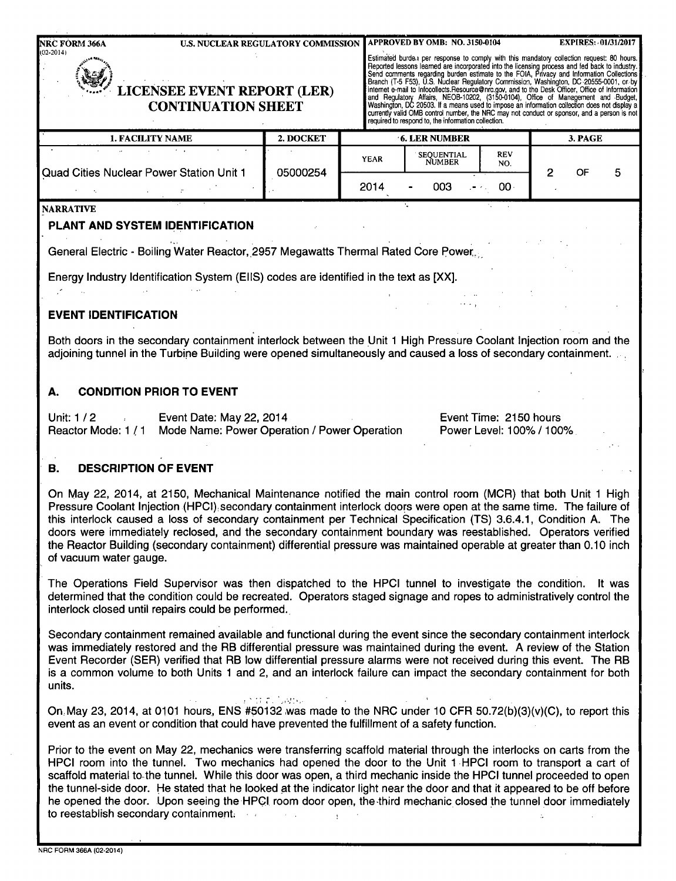**NRC FORM 366A** U.S. NUCLEAR REGULATORY COMMISSION **APPROVED BY OMB: NO. 3150-0104** EXPIRES: 01/31/2017<br>02-2014)

Estimated burde.) per response to comply with this mandatory collection request: 80 hours.<br>Reported lessons learned are incorporated into the licensing process and fed back to industry.<br>Bend comments regarding burden estim LICENSEE EVENT REPORT (LER)<br>
CONTINUATION SHEET<br>
Thermet e-mail to infocollects.Resource@nrc.gov, and to the Desk Officer, Office of Information<br>
Mashington, D.C. 20503. If a means used to impose an information collection currently valid OMB control number, the NRC may not conduct or sponsor, and a person is not required to respond to, the information collection.

| 1. FACILITY NAME                                | 2. DOCKET |      | <b>6. LER NUMBER</b>                    | 3. PAGE           |  |    |  |
|-------------------------------------------------|-----------|------|-----------------------------------------|-------------------|--|----|--|
| <b>Quad Cities Nuclear Power Station Unit 1</b> |           | YEAR | SEOUENTIAL<br>NUMBER                    | <b>REV</b><br>NO. |  |    |  |
|                                                 | 05000254  | 2014 | 003<br>$\blacksquare$<br>$\blacksquare$ | OO.               |  | OF |  |

### NARRATIVE

# **PLANT AND** SYSTEM **IDENTIFICATION**

General Electric - Boiling Water Reactor, 2957 Megawatts Thermal Rated Core Power,~

Energy Industry Identification System (EIIS) codes are identified in the text as [XX].

# **EVENT IDENTIFICATION**

Both doors in the secondary containment interlock between the Unit 1 High Pressure Coolant Injection room and the adjoining tunnel in the Turbine Building were opened simultaneously and caused a loss of secondary containment.

# **A. CONDITION** PRIOR TO **EVENT**

Unit: 1 / 2 **1** Event Date: May 22, 2014 Reactor Mode: 1 **/** 1 Mode Name: Power Operation / Power Operation Event Time: 2150 hours Power Level: 100% **/** 100%

 $\sim 10^{11}$ 

# B. **DESCRIPTION** OF **EVENT**

On May 22, 2014, at 2150, Mechanical Maintenance notified the main control room (MCR) that both Unit 1 High Pressure Coolant Injection (HPCI), secondary containment interlock doors were open at the same time. The failure of this interlock caused a loss of secondary containment per Technical Specification (TS) 3.6.4.1, Condition A. The doors were immediately reclosed, and the secondary containment boundary was reestablished. Operators verified the Reactor Building (secondary containment) differential pressure was maintained operable at greater than 0.10 inch of vacuum water gauge.

The Operations Field Supervisor was then dispatched to the HPCI tunnel to investigate the condition. It was determined that the condition could be recreated. Operators staged signage and ropes to administratively control the interlock closed until repairs could be performed.

Secondary containment remained available and functional during the event since the secondary containment interlock was immediately restored and the RB differential pressure was maintained during the event. A review of the Station Event Recorder (SER) verified that RB low differential pressure alarms were not received during this event. The RB is a common volume to both Units 1 and 2, and an interlock failure can impact the secondary containment for both units.

Patrici Sydne On May 23, 2014, at 0101 hours, ENS #50132 was made to the NRC under 10 CFR 50.72(b)(3)(v)(C), to report this event as an event or condition that could have prevented the fulfillment of a safety function.

Prior to the event on May 22, mechanics were transferring scaffold material through the interlocks on carts from the HPCI room into the tunnel. Two mechanics had opened the door to the Unit 1 .HPCI room to transport a cart of scaffold material to the tunnel. While this door was open, a third mechanic inside the HPCI tunnel proceeded to open the tunnel-side door. He stated that he looked at the indicator light near the door and that it appeared to be off before he opened the door. Upon seeing the HPCI room door open, the-third mechanic closed the tunnel door immediately to reestablish secondary containment.  $\Delta \sim 10^7$  $\mathbf{v}$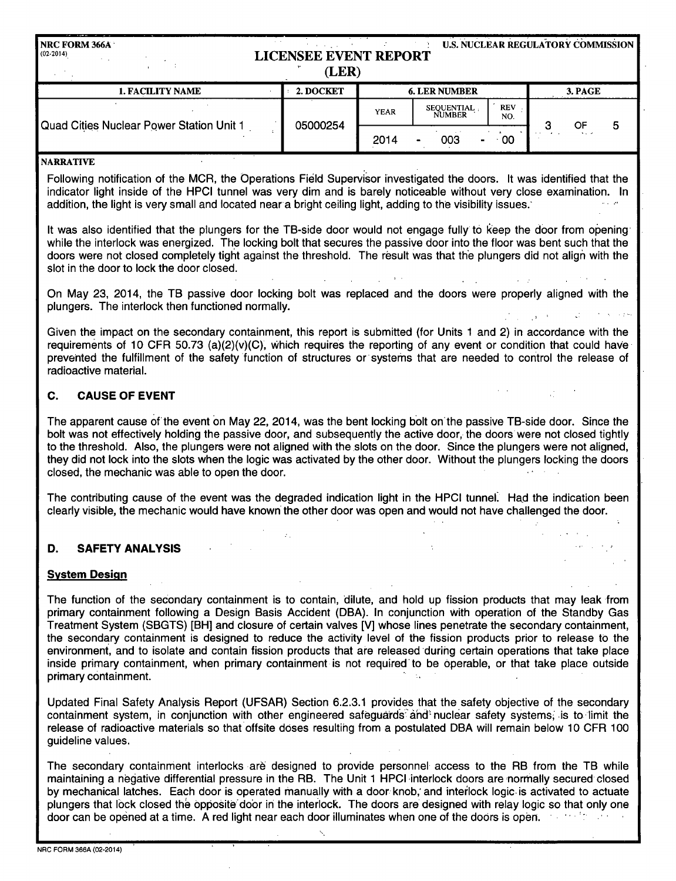| <b>NRC FORM 366A</b><br>$(02-2014)$      | <b>LICENSEE EVENT REPORT</b><br>(LER) |             | <b>U.S. NUCLEAR REGULATORY COMMISSION  </b> |                   |                 |                      |   |
|------------------------------------------|---------------------------------------|-------------|---------------------------------------------|-------------------|-----------------|----------------------|---|
| <b>1. FACILITY NAME</b>                  | 2. DOCKET                             |             | <b>6. LER NUMBER</b>                        | 3. PAGE           |                 |                      |   |
|                                          |                                       | <b>YEAR</b> | SEQUENTIAL.<br><b>NUMBER</b>                | <b>REV</b><br>NO. |                 | OF                   |   |
| Quad Cities Nuclear Power Station Unit 1 | 05000254                              | 2014        | 003                                         | OQ                | $\cdot$ $\cdot$ | $\sim$ $\sim$ $\sim$ | 5 |

#### NARRATIVE

Following notification of the MCR, the Operations Field Supervisor investigated the doors. It was identified that the indicator light inside of the HPCI tunnel was very dim and is barely noticeable without very close examination. In addition, the light is very small and located near a bright ceiling light, adding to the visibility issues.

2014

It was also identified that the plungers for the TB-side door would not engage fully to keep the door from opening while the interlock was energized. The locking bolt that secures the passive door into the floor was bent such that the doors were not closed completely tight against the threshold. The result was that the plungers did not align with the slot in the door to lock the door closed.  $\mathcal{L}_{\text{max}}$  , and  $\mathcal{L}_{\text{max}}$ 

On May 23, 2014, the TB passive door locking bolt was replaced and the doors were properly aligned with the plungers. The interlock then functioned normally.

Given the impact on the secondary containment, this report is submitted (for Units 1 and 2) in accordance with the requirements of 10 CFR 50.73 (a)(2)(v)(C), Which requires the reporting of any event or condition that could have prevented the fulfillment of the safety function of structures or systems that are needed to control the release of radioactive material.

## **C. CAUSE** OF **EVENT**

The apparent cause of the event on May 22, 2014, was the bent locking bolt onthe passive TB-side door. Since the bolt was not effectively holding the passive door, and subsequently the active door, the doors were not closed tightly to the threshold. Also, the plungers were not aligned with the slots on the door. Since the plungers were not aligned, they did not lock into the slots when the logic was activated by the other door. Without the plungers locking the doors closed, the mechanic was able to open the door.

The contributing cause of the event was the degraded indication light in the HPCI tunnel. Had the indication been clearly visible, the mechanic would have known the other door was open and would not have challenged the door.

#### D. SAFETY **ANALYSIS**

#### System Design

The function of the secondary containment is to contain, dilute, and hold up fission products that may leak from primary containment following a Design Basis Accident (DBA). In conjunction with operation of the Standby Gas Treatment System (SBGTS) [BH] and closure of certain valves [V] whose lines penetrate the secondary containment, the secondary containment is designed to reduce the activity level of the fission products prior to release to the environment, and to isolate and contain fission products that are released during certain operations that take place inside primary containment, when primary containment is not required to be operable, or that take place outside primary containment.

Updated Final Safety Analysis Report (UFSAR) Section 6.2.3.1 provides that the safety objective of the secondary containment system, in conjunction with other engineered safeguards and nuclear safety systems, is to limit the release of radioactive materials so that offsite doses resulting from a postulated DBA will remain below 10 CFR 100 guideline values.

The secondary containment interlocks are designed to provide personnel access to the RB from the TB while maintaining a negative differential pressure in the RB. The Unit 1 HPCI -interlock doors are normally secured closed by mechanical latches. Each door is operated manually with a door knob,' and interlock logic. is activated to actuate plungers that lock closed the opposite door in the interlock. The doors are designed with relay logic so that only one door can be opened at a time. A red light near each door illuminates when one of the doors is open. ''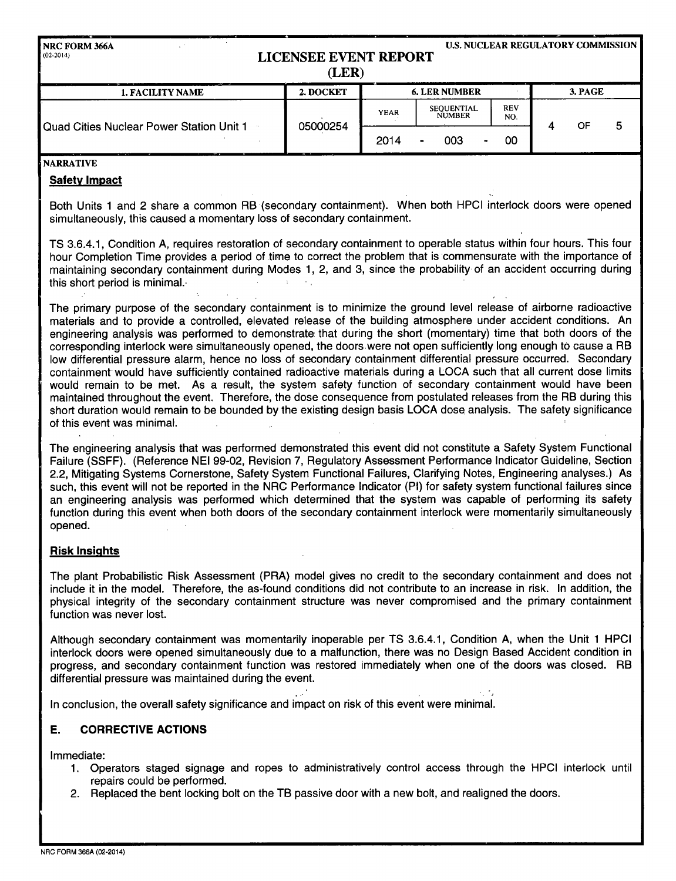| NRC FORM 366A<br>$(02-2014)$             | <b>LICENSEE EVENT REPORT</b><br>(LER) |             |                                    |                   |         |    | <b>U.S. NUCLEAR REGULATORY COMMISSION</b> |  |  |  |  |  |  |
|------------------------------------------|---------------------------------------|-------------|------------------------------------|-------------------|---------|----|-------------------------------------------|--|--|--|--|--|--|
| $-$<br><b>1. FACILITY NAME</b>           | 2. DOCKET                             |             | <b>6. LER NUMBER</b>               |                   | 3. PAGE |    |                                           |  |  |  |  |  |  |
|                                          |                                       | <b>YEAR</b> | <b>SEOUENTIAL</b><br><b>NUMBER</b> | <b>REV</b><br>NO. |         | OF | 5                                         |  |  |  |  |  |  |
| Quad Cities Nuclear Power Station Unit 1 | 05000254                              | 2014        | 003                                | OΟ                |         |    |                                           |  |  |  |  |  |  |

#### NARRATIVE

#### Safety Impact

Both Units 1 and 2 share a common RB (secondary containment). When both HPCI interlock doors were opened simultaneously, this caused a momentary loss of secondary containment.

TS 3.6.4.1, Condition A, requires restoration of secondary containment to operable status within four hours. This four hour Completion Time provides a period of time to correct the problem that is commensurate with the importance of maintaining secondary containment during Modes 1, 2, and 3, since the probability of an accident occurring during this short period is minimal.-  $\Delta$ 

The primary purpose of the secondary containment is to minimize the ground level release of airborne radioactive materials and to provide a controlled, elevated release of the building atmosphere under accident conditions. An engineering analysis was performed to demonstrate that during the short (momentary) time that both doors of the corresponding interlock were simultaneously opened, the doors were not open sufficiently long enough to cause a RB low differential pressure alarm, hence no loss of secondary containment differential pressure occurred. Secondary containment would have sufficiently contained radioactive materials during a LOCA such that all current dose limits would remain to be met. As a result, the system safety function of secondary containment would have been maintained throughout the event. Therefore, the dose consequence from postulated releases from the RB during this short duration would remain to be bounded by the existing design basis LOCA dose analysis. The safety significance of this event was minimal.

The engineering analysis that was performed demonstrated this event did not constitute a Safety System Functional Failure (SSFF). (Reference NEI 99-02, Revision 7, Regulatory Assessment Performance Indicator Guideline, Section 2.2, Mitigating Systems Cornerstone, Safety System Functional Failures, Clarifying Notes, Engineering analyses.) As such, this event will not be reported in the NRC Performance Indicator (PI) for safety system functional failures since an engineering analysis was performed which determined that the system was capable of performing its safety function during this event when both doors of the secondary containment interlock were momentarily simultaneously opened.

#### Risk Insights

The plant Probabilistic Risk Assessment (PRA) model gives no credit to the secondary containment and does not include it in the model. Therefore, the as-found conditions did not contribute to an increase in risk. In addition, the physical integrity of the secondary containment structure was never compromised and the primary containment function was never lost.

Although secondary containment was momentarily inoperable per TS 3.6.4.1, Condition A, when the Unit 1 HPCI interlock doors were opened simultaneously due to a malfunction, there was no Design Based Accident condition in progress, and secondary containment function was restored immediately when one of the doors was closed. RB differential pressure was maintained during the event.

In conclusion, the overall safety significance and impact on risk of this event were minimai.

#### E. CORRECTIVE **ACTIONS**

Immediate:

- 1. Operators staged signage and ropes to administratively control access through the HPCI interlock until repairs could be performed.
- 2. Replaced the bent locking bolt on the TB passive door with a new bolt, and realigned the doors.